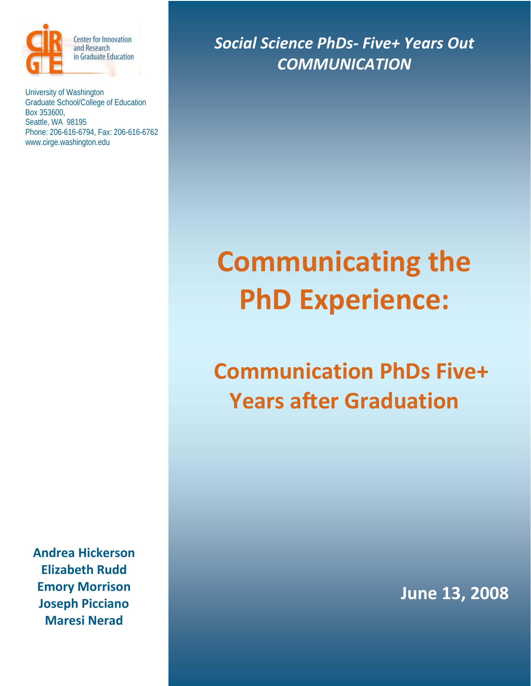

University of Washington Graduate School/College of Education Box 353600, Seattle, WA 98195 Phone: 206-616-6794, Fax: 206-616-6762 www.cirge.washington.edu

**Andrea Hickerson Elizabeth Rudd Emory Morrison Joseph Picciano Maresi Nerad**

*Social Science PhDs‐ Five+ Years Out COMMUNICATION*

# **Communicating the PhD Experience:**

# **Communication PhDs Five+ Years after Graduation**

**June 13, 2008**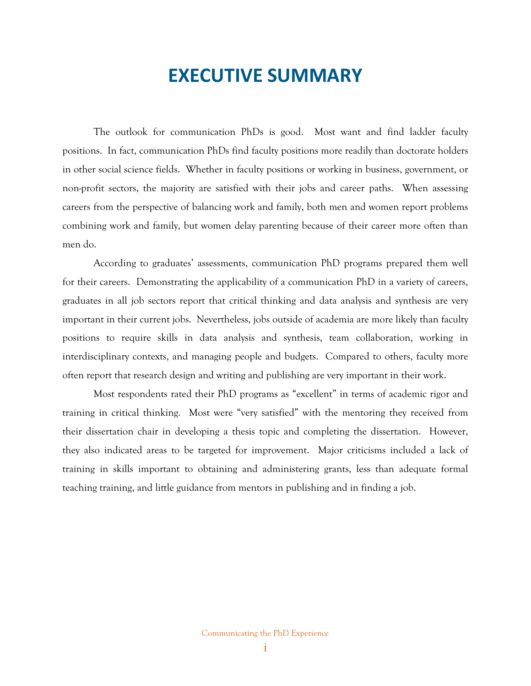# **EXECUTIVE SUMMARY**

The outlook for communication PhDs is good. Most want and find ladder faculty positions. In fact, communication PhDs find faculty positions more readily than doctorate holders in other social science fields. Whether in faculty positions or working in business, government, or non-profit sectors, the majority are satisfied with their jobs and career paths. When assessing careers from the perspective of balancing work and family, both men and women report problems combining work and family, but women delay parenting because of their career more often than men do.

According to graduates' assessments, communication PhD programs prepared them well for their careers. Demonstrating the applicability of a communication PhD in a variety of careers, graduates in all job sectors report that critical thinking and data analysis and synthesis are very important in their current jobs. Nevertheless, jobs outside of academia are more likely than faculty positions to require skills in data analysis and synthesis, team collaboration, working in interdisciplinary contexts, and managing people and budgets. Compared to others, faculty more often report that research design and writing and publishing are very important in their work.

Most respondents rated their PhD programs as "excellent" in terms of academic rigor and training in critical thinking. Most were "very satisfied" with the mentoring they received from their dissertation chair in developing a thesis topic and completing the dissertation. However, they also indicated areas to be targeted for improvement. Major criticisms included a lack of training in skills important to obtaining and administering grants, less than adequate formal teaching training, and little guidance from mentors in publishing and in finding a job.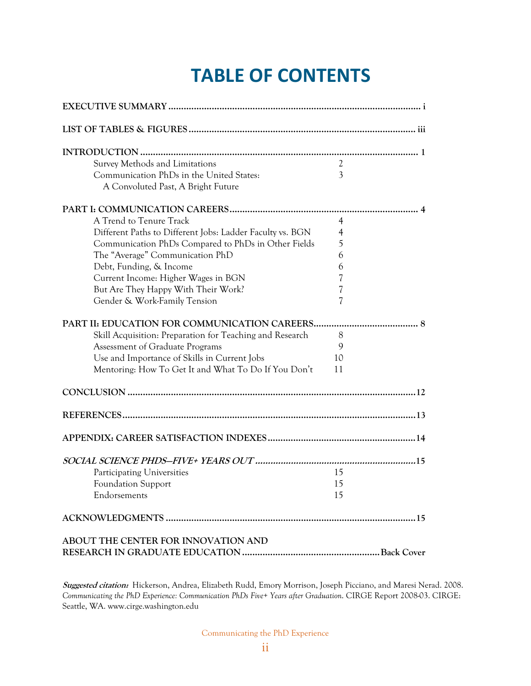# **TABLE OF CONTENTS**

| Survey Methods and Limitations                            | $\mathfrak{2}$ |  |
|-----------------------------------------------------------|----------------|--|
| Communication PhDs in the United States:                  | 3              |  |
| A Convoluted Past, A Bright Future                        |                |  |
|                                                           |                |  |
| A Trend to Tenure Track                                   | $\overline{4}$ |  |
| Different Paths to Different Jobs: Ladder Faculty vs. BGN | 4              |  |
| Communication PhDs Compared to PhDs in Other Fields       | 5              |  |
| The "Average" Communication PhD                           | 6              |  |
| Debt, Funding, & Income                                   | 6              |  |
| Current Income: Higher Wages in BGN                       | 7              |  |
| But Are They Happy With Their Work?                       | 7              |  |
| Gender & Work-Family Tension                              | 7              |  |
|                                                           |                |  |
| Skill Acquisition: Preparation for Teaching and Research  | 8              |  |
| Assessment of Graduate Programs                           | 9              |  |
| Use and Importance of Skills in Current Jobs              | 10             |  |
| Mentoring: How To Get It and What To Do If You Don't      | 11             |  |
|                                                           |                |  |
|                                                           |                |  |
|                                                           |                |  |
|                                                           |                |  |
| Participating Universities                                | 15             |  |
| <b>Foundation Support</b>                                 | 15             |  |
| Endorsements                                              | 15             |  |
|                                                           |                |  |
| ABOUT THE CENTER FOR INNOVATION AND                       |                |  |
|                                                           |                |  |

**Suggested citation:** Hickerson, Andrea, Elizabeth Rudd, Emory Morrison, Joseph Picciano, and Maresi Nerad. 2008. *Communicating the PhD Experience: Communication PhDs Five+ Years after Graduation*. CIRGE Report 2008-03. CIRGE: Seattle, WA. www.cirge.washington.edu

Communicating the PhD Experience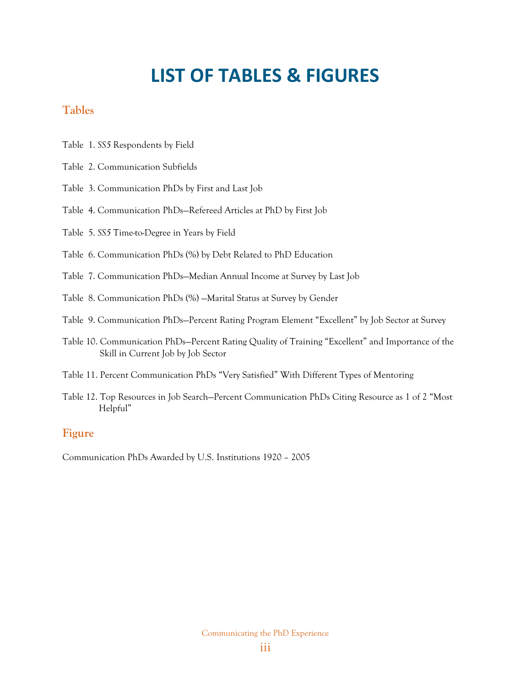# **LIST OF TABLES & FIGURES**

# **Tables**

- Table 1. *SS5* Respondents by Field
- Table 2. Communication Subfields
- Table 3. Communication PhDs by First and Last Job
- Table 4. Communication PhDs—Refereed Articles at PhD by First Job
- Table 5. *SS5* Time-to-Degree in Years by Field
- Table 6. Communication PhDs (%) by Debt Related to PhD Education
- Table 7. Communication PhDs—Median Annual Income at Survey by Last Job
- Table 8. Communication PhDs (%) —Marital Status at Survey by Gender
- Table 9. Communication PhDs—Percent Rating Program Element "Excellent" by Job Sector at Survey
- Table 10. Communication PhDs—Percent Rating Quality of Training "Excellent" and Importance of the Skill in Current Job by Job Sector
- Table 11. Percent Communication PhDs "Very Satisfied" With Different Types of Mentoring
- Table 12. Top Resources in Job Search—Percent Communication PhDs Citing Resource as 1 of 2 "Most Helpful"

# **Figure**

Communication PhDs Awarded by U.S. Institutions 1920 – 2005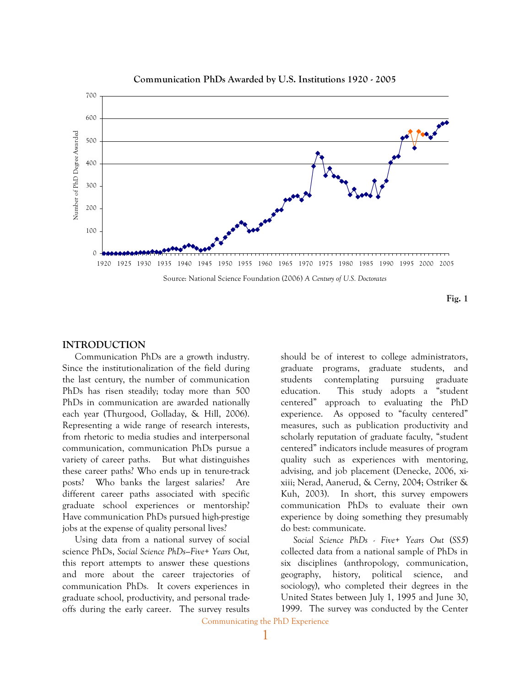

#### **Communication PhDs Awarded by U.S. Institutions 1920 - 2005**

#### **Fig. 1**

#### **INTRODUCTION**

Communication PhDs are a growth industry. Since the institutionalization of the field during the last century, the number of communication PhDs has risen steadily; today more than 500 PhDs in communication are awarded nationally each year (Thurgood, Golladay, & Hill, 2006). Representing a wide range of research interests, from rhetoric to media studies and interpersonal communication, communication PhDs pursue a variety of career paths. But what distinguishes these career paths? Who ends up in tenure-track posts? Who banks the largest salaries? Are different career paths associated with specific graduate school experiences or mentorship? Have communication PhDs pursued high-prestige jobs at the expense of quality personal lives?

Using data from a national survey of social science PhDs, *Social Science PhDs—Five+ Years Out,* this report attempts to answer these questions and more about the career trajectories of communication PhDs*.* It covers experiences in graduate school, productivity, and personal tradeoffs during the early career. The survey results

should be of interest to college administrators, graduate programs, graduate students, and students contemplating pursuing graduate education. This study adopts a "student centered" approach to evaluating the PhD experience. As opposed to "faculty centered" measures, such as publication productivity and scholarly reputation of graduate faculty, "student centered" indicators include measures of program quality such as experiences with mentoring, advising, and job placement (Denecke, 2006, xixiii; Nerad, Aanerud, & Cerny, 2004; Ostriker & Kuh, 2003). In short, this survey empowers communication PhDs to evaluate their own experience by doing something they presumably do best: communicate.

*Social Science PhDs - Five+ Years Out* (*SS5*) collected data from a national sample of PhDs in six disciplines (anthropology, communication, geography, history, political science, and sociology), who completed their degrees in the United States between July 1, 1995 and June 30, 1999. The survey was conducted by the Center

Communicating the PhD Experience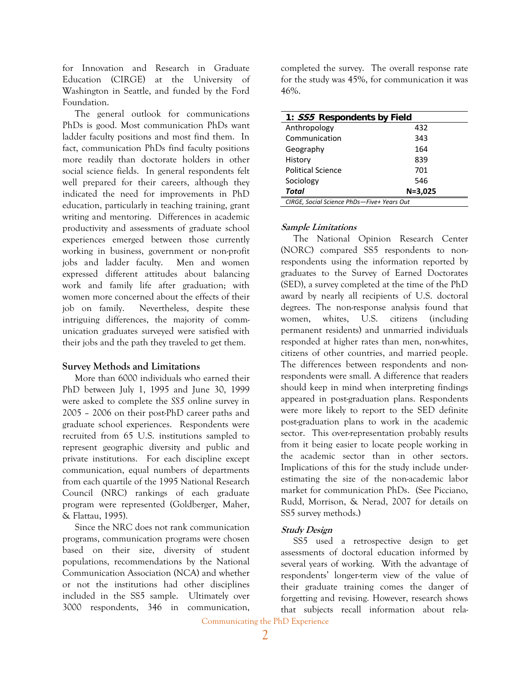for Innovation and Research in Graduate Education (CIRGE) at the University of Washington in Seattle, and funded by the Ford Foundation.

The general outlook for communications PhDs is good. Most communication PhDs want ladder faculty positions and most find them. In fact, communication PhDs find faculty positions more readily than doctorate holders in other social science fields. In general respondents felt well prepared for their careers, although they indicated the need for improvements in PhD education, particularly in teaching training, grant writing and mentoring. Differences in academic productivity and assessments of graduate school experiences emerged between those currently working in business, government or non-profit jobs and ladder faculty. Men and women expressed different attitudes about balancing work and family life after graduation; with women more concerned about the effects of their job on family. Nevertheless, despite these intriguing differences, the majority of communication graduates surveyed were satisfied with their jobs and the path they traveled to get them.

#### **Survey Methods and Limitations**

More than 6000 individuals who earned their PhD between July 1, 1995 and June 30, 1999 were asked to complete the *SS5* online survey in 2005 – 2006 on their post-PhD career paths and graduate school experiences. Respondents were recruited from 65 U.S. institutions sampled to represent geographic diversity and public and private institutions. For each discipline except communication, equal numbers of departments from each quartile of the 1995 National Research Council (NRC) rankings of each graduate program were represented (Goldberger, Maher, & Flattau, 1995).

Since the NRC does not rank communication programs, communication programs were chosen based on their size, diversity of student populations, recommendations by the National Communication Association (NCA) and whether or not the institutions had other disciplines included in the SS5 sample. Ultimately over 3000 respondents, 346 in communication, completed the survey. The overall response rate for the study was 45%, for communication it was 46%.

| 1: SS5 Respondents by Field                |             |  |  |
|--------------------------------------------|-------------|--|--|
| Anthropology                               | 432         |  |  |
| Communication                              | 343         |  |  |
| Geography                                  | 164         |  |  |
| History                                    | 839         |  |  |
| <b>Political Science</b>                   | 701         |  |  |
| Sociology                                  | 546         |  |  |
| Total                                      | $N = 3,025$ |  |  |
| CIRGE, Social Science PhDs-Five+ Years Out |             |  |  |

#### **Sample Limitations**

The National Opinion Research Center (NORC) compared SS5 respondents to nonrespondents using the information reported by graduates to the Survey of Earned Doctorates (SED), a survey completed at the time of the PhD award by nearly all recipients of U.S. doctoral degrees. The non-response analysis found that women, whites, U.S. citizens (including permanent residents) and unmarried individuals responded at higher rates than men, non-whites, citizens of other countries, and married people. The differences between respondents and nonrespondents were small. A difference that readers should keep in mind when interpreting findings appeared in post-graduation plans. Respondents were more likely to report to the SED definite post-graduation plans to work in the academic sector. This over-representation probably results from it being easier to locate people working in the academic sector than in other sectors. Implications of this for the study include underestimating the size of the non-academic labor market for communication PhDs. (See Picciano, Rudd, Morrison, & Nerad, 2007 for details on SS5 survey methods.)

#### **Study Design**

SS5 used a retrospective design to get assessments of doctoral education informed by several years of working. With the advantage of respondents' longer-term view of the value of their graduate training comes the danger of forgetting and revising. However, research shows that subjects recall information about rela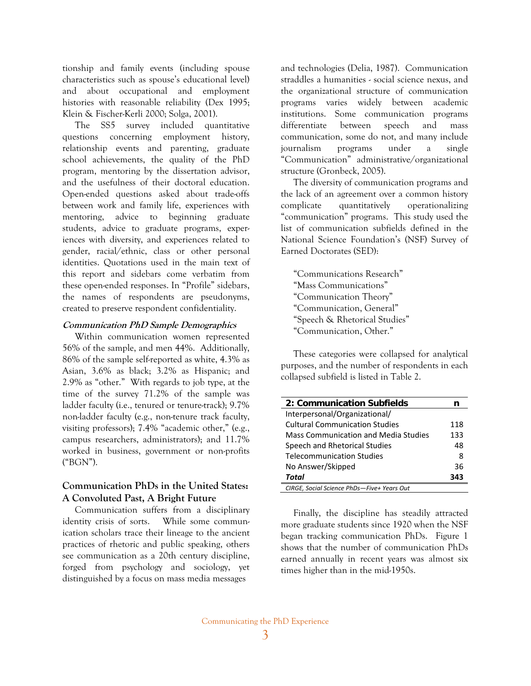tionship and family events (including spouse characteristics such as spouse's educational level) and about occupational and employment histories with reasonable reliability (Dex 1995; Klein & Fischer-Kerli 2000; Solga, 2001).

The SS5 survey included quantitative questions concerning employment history, relationship events and parenting, graduate school achievements, the quality of the PhD program, mentoring by the dissertation advisor, and the usefulness of their doctoral education. Open-ended questions asked about trade-offs between work and family life, experiences with mentoring, advice to beginning graduate students, advice to graduate programs, experiences with diversity, and experiences related to gender, racial/ethnic, class or other personal identities. Quotations used in the main text of this report and sidebars come verbatim from these open-ended responses. In "Profile" sidebars, the names of respondents are pseudonyms, created to preserve respondent confidentiality.

#### **Communication PhD Sample Demographics**

Within communication women represented 56% of the sample, and men 44%. Additionally, 86% of the sample self-reported as white, 4.3% as Asian, 3.6% as black; 3.2% as Hispanic; and 2.9% as "other." With regards to job type, at the time of the survey 71.2% of the sample was ladder faculty (i.e., tenured or tenure-track); 9.7% non-ladder faculty (e.g., non-tenure track faculty, visiting professors); 7.4% "academic other," (e.g., campus researchers, administrators); and 11.7% worked in business, government or non-profits ("BGN").

#### **Communication PhDs in the United States: A Convoluted Past, A Bright Future**

Communication suffers from a disciplinary identity crisis of sorts. While some communication scholars trace their lineage to the ancient practices of rhetoric and public speaking, others see communication as a 20th century discipline, forged from psychology and sociology, yet distinguished by a focus on mass media messages

and technologies (Delia, 1987). Communication straddles a humanities - social science nexus, and the organizational structure of communication programs varies widely between academic institutions. Some communication programs differentiate between speech and mass communication, some do not, and many include journalism programs under a single "Communication" administrative/organizational structure (Gronbeck, 2005).

The diversity of communication programs and the lack of an agreement over a common history complicate quantitatively operationalizing "communication" programs. This study used the list of communication subfields defined in the National Science Foundation's (NSF) Survey of Earned Doctorates (SED):

"Communications Research" "Mass Communications" "Communication Theory" "Communication, General" "Speech & Rhetorical Studies" "Communication, Other."

These categories were collapsed for analytical purposes, and the number of respondents in each collapsed subfield is listed in Table 2.

| 2: Communication Subfields                 | n   |
|--------------------------------------------|-----|
| Interpersonal/Organizational/              |     |
| <b>Cultural Communication Studies</b>      | 118 |
| Mass Communication and Media Studies       | 133 |
| Speech and Rhetorical Studies              | 48  |
| <b>Telecommunication Studies</b>           | 8   |
| No Answer/Skipped                          | 36  |
| Total                                      | 343 |
| CIRGE, Social Science PhDs-Five+ Years Out |     |

Finally, the discipline has steadily attracted more graduate students since 1920 when the NSF began tracking communication PhDs. Figure 1 shows that the number of communication PhDs earned annually in recent years was almost six times higher than in the mid-1950s.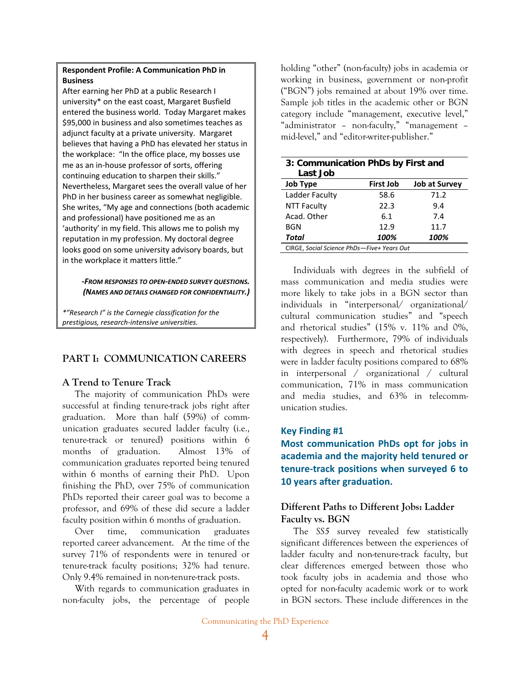#### **Respondent Profile: A Communication PhD in Business**

After earning her PhD at a public Research I university\* on the east coast, Margaret Busfield entered the business world. Today Margaret makes \$95,000 in business and also sometimes teaches as adjunct faculty at a private university. Margaret believes that having a PhD has elevated her status in the workplace: "In the office place, my bosses use me as an in‐house professor of sorts, offering continuing education to sharpen their skills." Nevertheless, Margaret sees the overall value of her PhD in her business career as somewhat negligible. She writes, "My age and connections (both academic and professional) have positioned me as an 'authority' in my field. This allows me to polish my reputation in my profession. My doctoral degree looks good on some university advisory boards, but in the workplace it matters little."

#### **‐***FROM RESPONSES TO OPEN‐ENDED SURVEY QUESTIONS. (NAMES AND DETAILS CHANGED FOR CONFIDENTIALITY.)*

*\*"Research I" is the Carnegie classification for the prestigious, research‐intensive universities.* 

### **PART I: COMMUNICATION CAREERS**

### **A Trend to Tenure Track**

The majority of communication PhDs were successful at finding tenure-track jobs right after graduation. More than half (59%) of communication graduates secured ladder faculty (i.e., tenure-track or tenured) positions within 6 months of graduation. Almost 13% of communication graduates reported being tenured within 6 months of earning their PhD. Upon finishing the PhD, over 75% of communication PhDs reported their career goal was to become a professor, and 69% of these did secure a ladder faculty position within 6 months of graduation.

Over time, communication graduates reported career advancement. At the time of the survey 71% of respondents were in tenured or tenure-track faculty positions; 32% had tenure. Only 9.4% remained in non-tenure-track posts.

With regards to communication graduates in non-faculty jobs, the percentage of people

holding "other" (non-faculty) jobs in academia or working in business, government or non-profit ("BGN") jobs remained at about 19% over time. Sample job titles in the academic other or BGN category include "management, executive level," "administrator – non-faculty," "management – mid-level," and "editor-writer-publisher."

| 3: Communication PhDs by First and<br>Last Job |                  |                      |  |
|------------------------------------------------|------------------|----------------------|--|
| <b>Job Type</b>                                | <b>First Job</b> | <b>Job at Survey</b> |  |
| Ladder Faculty                                 | 58.6             | 71.2                 |  |
| <b>NTT Faculty</b>                             | 22.3             | 9.4                  |  |
| Acad. Other                                    | 6.1              | 7.4                  |  |
| <b>BGN</b>                                     | 12.9             | 11.7                 |  |
| Total                                          | 100%             | 100%                 |  |
| CIRGE, Social Science PhDs-Five+ Years Out     |                  |                      |  |

Individuals with degrees in the subfield of mass communication and media studies were more likely to take jobs in a BGN sector than individuals in "interpersonal/ organizational/ cultural communication studies" and "speech and rhetorical studies" (15% v. 11% and 0%, respectively). Furthermore, 79% of individuals with degrees in speech and rhetorical studies were in ladder faculty positions compared to 68% in interpersonal / organizational / cultural communication, 71% in mass communication and media studies, and 63% in telecommunication studies.

### **Key Finding #1**

**Most communication PhDs opt for jobs in academia and the majority held tenured or tenure‐track positions when surveyed 6 to 10 years after graduation.**

## **Different Paths to Different Jobs: Ladder Faculty vs. BGN**

The *SS5* survey revealed few statistically significant differences between the experiences of ladder faculty and non-tenure-track faculty, but clear differences emerged between those who took faculty jobs in academia and those who opted for non-faculty academic work or to work in BGN sectors. These include differences in the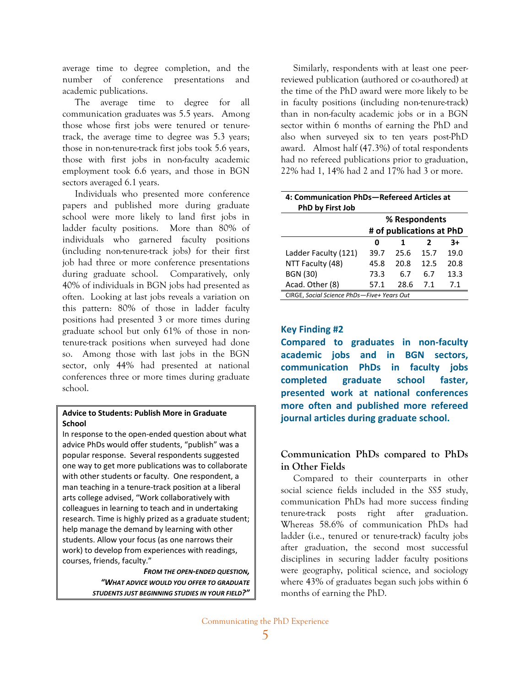average time to degree completion, and the number of conference presentations and academic publications.

The average time to degree for all communication graduates was 5.5 years. Among those whose first jobs were tenured or tenuretrack, the average time to degree was 5.3 years; those in non-tenure-track first jobs took 5.6 years, those with first jobs in non-faculty academic employment took 6.6 years, and those in BGN sectors averaged 6.1 years.

Individuals who presented more conference papers and published more during graduate school were more likely to land first jobs in ladder faculty positions. More than 80% of individuals who garnered faculty positions (including non-tenure-track jobs) for their first job had three or more conference presentations during graduate school. Comparatively, only 40% of individuals in BGN jobs had presented as often. Looking at last jobs reveals a variation on this pattern: 80% of those in ladder faculty positions had presented 3 or more times during graduate school but only 61% of those in nontenure-track positions when surveyed had done so. Among those with last jobs in the BGN sector, only 44% had presented at national conferences three or more times during graduate school.

#### **Advice to Students: Publish More in Graduate School**

In response to the open‐ended question about what advice PhDs would offer students, "publish" was a popular response. Several respondents suggested one way to get more publications was to collaborate with other students or faculty. One respondent, a man teaching in a tenure‐track position at a liberal arts college advised, "Work collaboratively with colleagues in learning to teach and in undertaking research. Time is highly prized as a graduate student; help manage the demand by learning with other students. Allow your focus (as one narrows their work) to develop from experiences with readings, courses, friends, faculty."

> *FROM THE OPEN‐ENDED QUESTION, "WHAT ADVICE WOULD YOU OFFER TO GRADUATE STUDENTS JUST BEGINNING STUDIES IN YOUR FIELD?"*

Similarly, respondents with at least one peerreviewed publication (authored or co-authored) at the time of the PhD award were more likely to be in faculty positions (including non-tenure-track) than in non-faculty academic jobs or in a BGN sector within 6 months of earning the PhD and also when surveyed six to ten years post-PhD award. Almost half (47.3%) of total respondents had no refereed publications prior to graduation, 22% had 1, 14% had 2 and 17% had 3 or more.

| 4: Communication PhDs-Refereed Articles at<br>PhD by First Job |      |      |      |      |
|----------------------------------------------------------------|------|------|------|------|
| % Respondents                                                  |      |      |      |      |
| # of publications at PhD                                       |      |      |      |      |
|                                                                | ŋ    | 1    | 2    | $3+$ |
| Ladder Faculty (121)                                           | 39.7 | 25.6 | 15.7 | 19.0 |
| NTT Faculty (48)                                               | 45.8 | 20.8 | 12.5 | 20.8 |
| <b>BGN (30)</b>                                                | 73.3 | 6.7  | 6.7  | 13.3 |
| Acad. Other (8)                                                | 57.1 | 28.6 | 71   | 71   |
| CIRGE. Social Science PhDs-Five+ Years Out                     |      |      |      |      |

#### **Key Finding #2**

**Compared to graduates in non‐faculty academic jobs and in BGN sectors, communication PhDs in faculty jobs completed graduate school faster, presented work at national conferences more often and published more refereed journal articles during graduate school.**

### **Communication PhDs compared to PhDs in Other Fields**

Compared to their counterparts in other social science fields included in the *SS5* study, communication PhDs had more success finding tenure-track posts right after graduation. Whereas 58.6% of communication PhDs had ladder (i.e., tenured or tenure-track) faculty jobs after graduation, the second most successful disciplines in securing ladder faculty positions were geography, political science, and sociology where 43% of graduates began such jobs within 6 months of earning the PhD.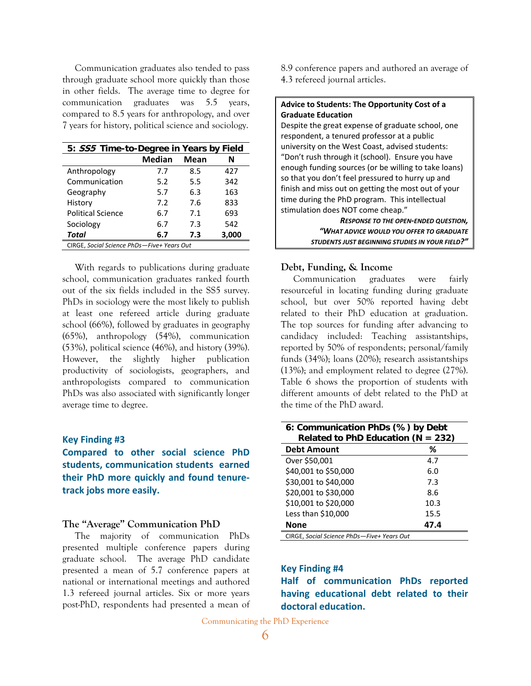Communication graduates also tended to pass through graduate school more quickly than those in other fields. The average time to degree for communication graduates was 5.5 years, compared to 8.5 years for anthropology, and over 7 years for history, political science and sociology.

| 5: SS5 Time-to-Degree in Years by Field    |        |      |       |
|--------------------------------------------|--------|------|-------|
|                                            | Median | Mean | Ν     |
| Anthropology                               | 7.7    | 8.5  | 427   |
| Communication                              | 5.2    | 5.5  | 342   |
| Geography                                  | 5.7    | 6.3  | 163   |
| History                                    | 7.2    | 7.6  | 833   |
| <b>Political Science</b>                   | 6.7    | 71   | 693   |
| Sociology                                  | 6.7    | 7.3  | 542   |
| Total                                      | 6.7    | 7.3  | 3,000 |
| CIRGE, Social Science PhDs-Five+ Years Out |        |      |       |

With regards to publications during graduate school, communication graduates ranked fourth out of the six fields included in the SS5 survey. PhDs in sociology were the most likely to publish at least one refereed article during graduate school (66%), followed by graduates in geography (65%), anthropology (54%), communication (53%), political science (46%), and history (39%). However, the slightly higher publication productivity of sociologists, geographers, and anthropologists compared to communication PhDs was also associated with significantly longer average time to degree.

#### **Key Finding #3**

**Compared to other social science PhD students, communication students earned their PhD more quickly and found tenure‐ track jobs more easily.**

#### **The "Average" Communication PhD**

The majority of communication PhDs presented multiple conference papers during graduate school. The average PhD candidate presented a mean of 5.7 conference papers at national or international meetings and authored 1.3 refereed journal articles. Six or more years post-PhD, respondents had presented a mean of 8.9 conference papers and authored an average of 4.3 refereed journal articles.

#### **Advice to Students: The Opportunity Cost of a Graduate Education**

Despite the great expense of graduate school, one respondent, a tenured professor at a public university on the West Coast, advised students: "Don't rush through it (school). Ensure you have enough funding sources (or be willing to take loans) so that you don't feel pressured to hurry up and finish and miss out on getting the most out of your time during the PhD program. This intellectual stimulation does NOT come cheap."

> *RESPONSE TO THE OPEN‐ENDED QUESTION, "WHAT ADVICE WOULD YOU OFFER TO GRADUATE STUDENTS JUST BEGINNING STUDIES IN YOUR FIELD?"*

#### **Debt, Funding, & Income**

Communication graduates were fairly resourceful in locating funding during graduate school, but over 50% reported having debt related to their PhD education at graduation. The top sources for funding after advancing to candidacy included: Teaching assistantships, reported by 50% of respondents; personal/family funds (34%); loans (20%); research assistantships (13%); and employment related to degree (27%). Table 6 shows the proportion of students with different amounts of debt related to the PhD at the time of the PhD award.

| 6: Communication PhDs (%) by Debt<br>Related to PhD Education ( $N = 232$ ) |      |  |  |
|-----------------------------------------------------------------------------|------|--|--|
| <b>Debt Amount</b>                                                          | ℅    |  |  |
| Over \$50,001                                                               | 4.7  |  |  |
| \$40,001 to \$50,000                                                        | 6.0  |  |  |
| \$30,001 to \$40,000                                                        | 7.3  |  |  |
| \$20,001 to \$30,000                                                        | 8.6  |  |  |
| \$10,001 to \$20,000                                                        | 10.3 |  |  |
| Less than \$10,000                                                          | 15.5 |  |  |
| <b>None</b>                                                                 | 47.4 |  |  |
| CIRGE, Social Science PhDs-Five+ Years Out                                  |      |  |  |

#### **Key Finding #4**

**Half of communication PhDs reported having educational debt related to their doctoral education.**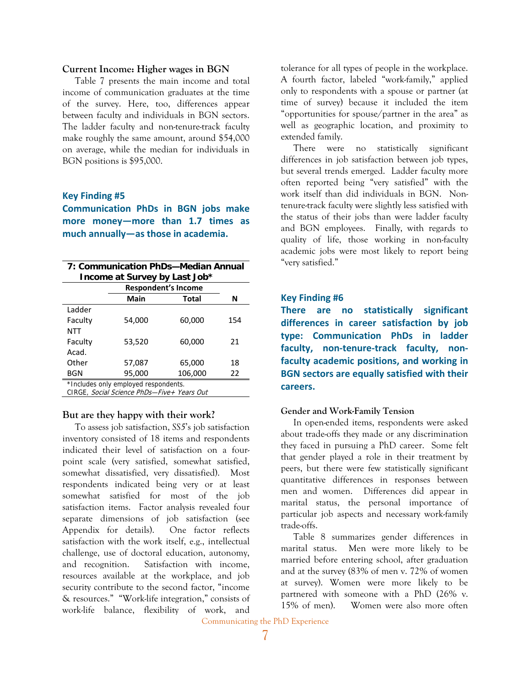#### **Current Income: Higher wages in BGN**

Table 7 presents the main income and total income of communication graduates at the time of the survey. Here, too, differences appear between faculty and individuals in BGN sectors. The ladder faculty and non-tenure-track faculty make roughly the same amount, around \$54,000 on average, while the median for individuals in BGN positions is \$95,000.

#### **Key Finding #5**

**Communication PhDs in BGN jobs make more money—more than 1.7 times as much annually—as those in academia.**

| 7: Communication PhDs-Median Annual<br>Income at Survey by Last Job*               |        |                            |     |
|------------------------------------------------------------------------------------|--------|----------------------------|-----|
|                                                                                    |        | <b>Respondent's Income</b> |     |
|                                                                                    | Main   | Total                      | N   |
| Ladder                                                                             |        |                            |     |
| Faculty                                                                            | 54,000 | 60,000                     | 154 |
| NTT                                                                                |        |                            |     |
| Faculty                                                                            | 53,520 | 60,000                     | 21  |
| Acad.                                                                              |        |                            |     |
| Other                                                                              | 57.087 | 65,000                     | 18  |
| <b>BGN</b>                                                                         | 95,000 | 106,000                    | 22  |
| *Includes only employed respondents.<br>CIRGE, Social Science PhDs-Five+ Years Out |        |                            |     |

#### **But are they happy with their work?**

To assess job satisfaction, *SS5*'s job satisfaction inventory consisted of 18 items and respondents indicated their level of satisfaction on a fourpoint scale (very satisfied, somewhat satisfied, somewhat dissatisfied, very dissatisfied). Most respondents indicated being very or at least somewhat satisfied for most of the job satisfaction items. Factor analysis revealed four separate dimensions of job satisfaction (see Appendix for details). One factor reflects satisfaction with the work itself, e.g., intellectual challenge, use of doctoral education, autonomy, and recognition. Satisfaction with income, resources available at the workplace, and job security contribute to the second factor, "income & resources." "Work-life integration," consists of work-life balance, flexibility of work, and

tolerance for all types of people in the workplace. A fourth factor, labeled "work-family," applied only to respondents with a spouse or partner (at time of survey) because it included the item "opportunities for spouse/partner in the area" as well as geographic location, and proximity to extended family.

There were no statistically significant differences in job satisfaction between job types, but several trends emerged. Ladder faculty more often reported being "very satisfied" with the work itself than did individuals in BGN. Nontenure-track faculty were slightly less satisfied with the status of their jobs than were ladder faculty and BGN employees. Finally, with regards to quality of life, those working in non-faculty academic jobs were most likely to report being "very satisfied."

#### **Key Finding #6**

**There are no statistically significant differences in career satisfaction by job type: Communication PhDs in ladder faculty, non‐tenure‐track faculty, non‐ faculty academic positions, and working in BGN sectors are equally satisfied with their careers.**

#### **Gender and Work-Family Tension**

In open-ended items, respondents were asked about trade-offs they made or any discrimination they faced in pursuing a PhD career. Some felt that gender played a role in their treatment by peers, but there were few statistically significant quantitative differences in responses between men and women. Differences did appear in marital status, the personal importance of particular job aspects and necessary work-family trade-offs.

Table 8 summarizes gender differences in marital status. Men were more likely to be married before entering school, after graduation and at the survey (83% of men v. 72% of women at survey). Women were more likely to be partnered with someone with a PhD (26% v. 15% of men). Women were also more often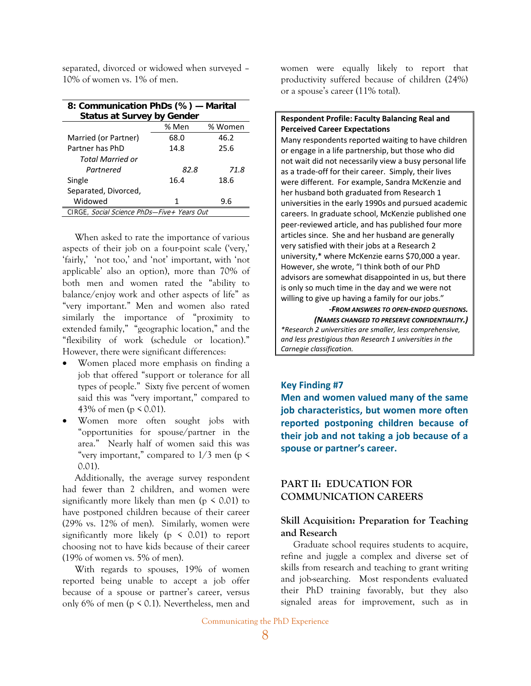separated, divorced or widowed when surveyed – 10% of women vs. 1% of men.

| 8: Communication PhDs (%) - Marital<br><b>Status at Survey by Gender</b> |      |      |  |  |  |
|--------------------------------------------------------------------------|------|------|--|--|--|
| % Men<br>% Women                                                         |      |      |  |  |  |
| Married (or Partner)                                                     | 68.0 | 46.2 |  |  |  |
| Partner has PhD                                                          | 14.8 | 25.6 |  |  |  |
| Total Married or                                                         |      |      |  |  |  |
| Partnered                                                                | 82.8 | 71.8 |  |  |  |
| Single                                                                   | 16.4 | 18.6 |  |  |  |
| Separated, Divorced,                                                     |      |      |  |  |  |
| Widowed                                                                  | 1    | 9.6  |  |  |  |
| CIRGE, Social Science PhDs-Five + Years Out                              |      |      |  |  |  |

When asked to rate the importance of various aspects of their job on a four-point scale ('very,' 'fairly,' 'not too,' and 'not' important, with 'not applicable' also an option), more than 70% of both men and women rated the "ability to balance/enjoy work and other aspects of life" as "very important." Men and women also rated similarly the importance of "proximity to extended family," "geographic location," and the "flexibility of work (schedule or location)." However, there were significant differences:

- Women placed more emphasis on finding a job that offered "support or tolerance for all types of people." Sixty five percent of women said this was "very important," compared to 43% of men ( $p \le 0.01$ ).
- Women more often sought jobs with "opportunities for spouse/partner in the area." Nearly half of women said this was "very important," compared to  $1/3$  men (p  $\le$ 0.01).

Additionally, the average survey respondent had fewer than 2 children, and women were significantly more likely than men ( $p \le 0.01$ ) to have postponed children because of their career (29% vs. 12% of men). Similarly, women were significantly more likely ( $p \le 0.01$ ) to report choosing not to have kids because of their career (19% of women vs. 5% of men).

With regards to spouses, 19% of women reported being unable to accept a job offer because of a spouse or partner's career, versus only 6% of men ( $p \le 0.1$ ). Nevertheless, men and women were equally likely to report that productivity suffered because of children (24%) or a spouse's career (11% total).

#### **Respondent Profile: Faculty Balancing Real and Perceived Career Expectations**

Many respondents reported waiting to have children or engage in a life partnership, but those who did not wait did not necessarily view a busy personal life as a trade‐off for their career. Simply, their lives were different. For example, Sandra McKenzie and her husband both graduated from Research 1 universities in the early 1990s and pursued academic careers. In graduate school, McKenzie published one peer‐reviewed article, and has published four more articles since. She and her husband are generally very satisfied with their jobs at a Research 2 university,\* where McKenzie earns \$70,000 a year. However, she wrote, "I think both of our PhD advisors are somewhat disappointed in us, but there is only so much time in the day and we were not willing to give up having a family for our jobs."

> *‐FROM ANSWERS TO OPEN‐ENDED QUESTIONS. (NAMES CHANGED TO PRESERVE CONFIDENTIALITY.)*

*\*Research 2 universities are smaller, less comprehensive, and less prestigious than Research 1 universities in the Carnegie classification.*

#### **Key Finding #7**

**Men and women valued many of the same job characteristics, but women more often reported postponing children because of their job and not taking a job because of a spouse or partner's career.**

### **PART II: EDUCATION FOR COMMUNICATION CAREERS**

### **Skill Acquisition: Preparation for Teaching and Research**

Graduate school requires students to acquire, refine and juggle a complex and diverse set of skills from research and teaching to grant writing and job-searching. Most respondents evaluated their PhD training favorably, but they also signaled areas for improvement, such as in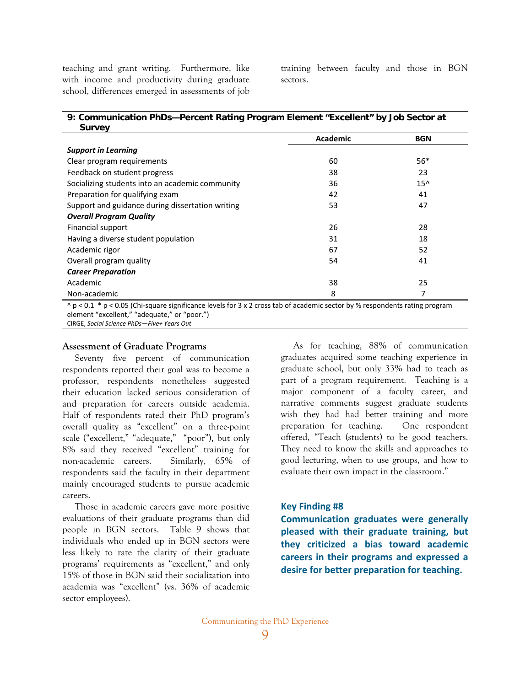teaching and grant writing. Furthermore, like with income and productivity during graduate school, differences emerged in assessments of job training between faculty and those in BGN sectors.

| 9: Communication PhDs-Percent Rating Program Element "Excellent" by Job Sector at |  |
|-----------------------------------------------------------------------------------|--|
| <b>Survey</b>                                                                     |  |

| Academic | <b>BGN</b> |
|----------|------------|
|          |            |
| 60       | $56*$      |
| 38       | 23         |
| 36       | $15^$      |
| 42       | 41         |
| 53       | 47         |
|          |            |
| 26       | 28         |
| 31       | 18         |
| 67       | 52         |
| 54       | 41         |
|          |            |
| 38       | 25         |
| 8        | 7          |
|          |            |

^ p < 0.1 \* p < 0.05 (Chi-square significance levels for 3 x 2 cross tab of academic sector by % respondents rating program element "excellent," "adequate," or "poor.")

CIRGE, *Social Science PhDs—Five+ Years Out*

#### **Assessment of Graduate Programs**

Seventy five percent of communication respondents reported their goal was to become a professor, respondents nonetheless suggested their education lacked serious consideration of and preparation for careers outside academia. Half of respondents rated their PhD program's overall quality as "excellent" on a three-point scale ("excellent," "adequate," "poor"), but only 8% said they received "excellent" training for non-academic careers. Similarly, 65% of respondents said the faculty in their department mainly encouraged students to pursue academic careers.

Those in academic careers gave more positive evaluations of their graduate programs than did people in BGN sectors. Table 9 shows that individuals who ended up in BGN sectors were less likely to rate the clarity of their graduate programs' requirements as "excellent," and only 15% of those in BGN said their socialization into academia was "excellent" (vs. 36% of academic sector employees).

As for teaching, 88% of communication graduates acquired some teaching experience in graduate school, but only 33% had to teach as part of a program requirement. Teaching is a major component of a faculty career, and narrative comments suggest graduate students wish they had had better training and more preparation for teaching. One respondent offered, "Teach (students) to be good teachers. They need to know the skills and approaches to good lecturing, when to use groups, and how to evaluate their own impact in the classroom."

#### **Key Finding #8**

**Communication graduates were generally pleased with their graduate training, but they criticized a bias toward academic careers in their programs and expressed a desire for better preparation for teaching.**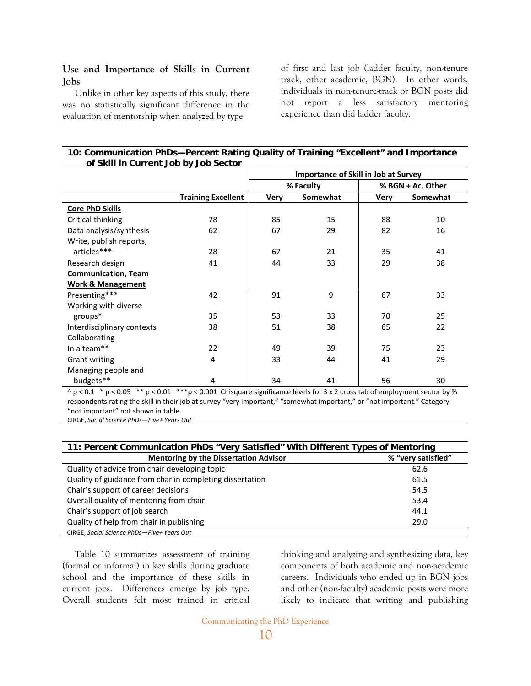#### **Use and Importance of Skills in Current Jobs**

Unlike in other key aspects of this study, there was no statistically significant difference in the evaluation of mentorship when analyzed by type

of first and last job (ladder faculty, non-tenure track, other academic, BGN). In other words, individuals in non-tenure-track or BGN posts did not report a less satisfactory mentoring experience than did ladder faculty.

#### **10: Communication PhDs—Percent Rating Quality of Training "Excellent" and Importance of Skill in Current Job by Job Sector**

|                              |                           | <b>Importance of Skill in Job at Survey</b> |          |             |                   |
|------------------------------|---------------------------|---------------------------------------------|----------|-------------|-------------------|
|                              |                           | % Faculty                                   |          |             | % BGN + Ac. Other |
|                              | <b>Training Excellent</b> | Very                                        | Somewhat | <b>Very</b> | Somewhat          |
| <b>Core PhD Skills</b>       |                           |                                             |          |             |                   |
| Critical thinking            | 78                        | 85                                          | 15       | 88          | 10                |
| Data analysis/synthesis      | 62                        | 67                                          | 29       | 82          | 16                |
| Write, publish reports,      |                           |                                             |          |             |                   |
| articles***                  | 28                        | 67                                          | 21       | 35          | 41                |
| Research design              | 41                        | 44                                          | 33       | 29          | 38                |
| <b>Communication, Team</b>   |                           |                                             |          |             |                   |
| <b>Work &amp; Management</b> |                           |                                             |          |             |                   |
| Presenting***                | 42                        | 91                                          | 9        | 67          | 33                |
| Working with diverse         |                           |                                             |          |             |                   |
| $groups*$                    | 35                        | 53                                          | 33       | 70          | 25                |
| Interdisciplinary contexts   | 38                        | 51                                          | 38       | 65          | 22                |
| Collaborating                |                           |                                             |          |             |                   |
| In a team**                  | 22                        | 49                                          | 39       | 75          | 23                |
| <b>Grant writing</b>         | 4                         | 33                                          | 44       | 41          | 29                |
| Managing people and          |                           |                                             |          |             |                   |
| budgets**                    | 4                         | 34                                          | 41       | 56          | 30                |

 $\land$  p < 0.1  $\land$  p < 0.05  $\land$  \*\* p < 0.01  $\land$  \*\*\*p < 0.001 Chisquare significance levels for 3 x 2 cross tab of employment sector by % respondents rating the skill in their job at survey "very important," "somewhat important," or "not important." Category "not important" not shown in table.

CIRGE, *Social Science PhDs—Five+ Years Out*

| 11: Percent Communication PhDs "Very Satisfied" With Different Types of Mentoring |                    |
|-----------------------------------------------------------------------------------|--------------------|
| <b>Mentoring by the Dissertation Advisor</b>                                      | % "very satisfied" |
| Quality of advice from chair developing topic                                     | 62.6               |
| Quality of guidance from char in completing dissertation                          | 61.5               |
| Chair's support of career decisions                                               | 54.5               |
| Overall quality of mentoring from chair                                           | 53.4               |
| Chair's support of job search                                                     | 44.1               |
| Quality of help from chair in publishing                                          | 29.0               |
| CIRGE, Social Science PhDs-Five+ Years Out                                        |                    |

Table 10 summarizes assessment of training (formal or informal) in key skills during graduate school and the importance of these skills in current jobs. Differences emerge by job type. Overall students felt most trained in critical

thinking and analyzing and synthesizing data, key components of both academic and non-academic careers. Individuals who ended up in BGN jobs and other (non-faculty) academic posts were more likely to indicate that writing and publishing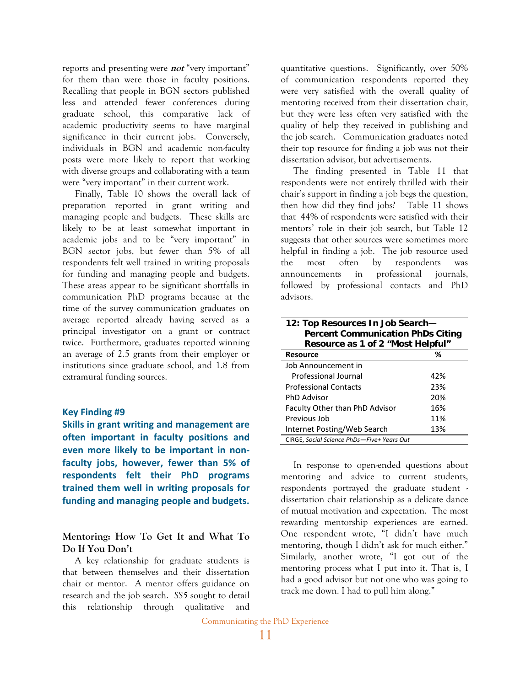reports and presenting were **not** "very important" for them than were those in faculty positions. Recalling that people in BGN sectors published less and attended fewer conferences during graduate school, this comparative lack of academic productivity seems to have marginal significance in their current jobs. Conversely, individuals in BGN and academic non-faculty posts were more likely to report that working with diverse groups and collaborating with a team were "very important" in their current work.

Finally, Table 10 shows the overall lack of preparation reported in grant writing and managing people and budgets. These skills are likely to be at least somewhat important in academic jobs and to be "very important" in BGN sector jobs, but fewer than 5% of all respondents felt well trained in writing proposals for funding and managing people and budgets. These areas appear to be significant shortfalls in communication PhD programs because at the time of the survey communication graduates on average reported already having served as a principal investigator on a grant or contract twice. Furthermore, graduates reported winning an average of 2.5 grants from their employer or institutions since graduate school, and 1.8 from extramural funding sources.

#### **Key Finding #9**

**Skills in grant writing and management are often important in faculty positions and even more likely to be important in non‐ faculty jobs, however, fewer than 5% of respondents felt their PhD programs trained them well in writing proposals for funding and managing people and budgets.**

#### **Mentoring: How To Get It and What To Do If You Don't**

A key relationship for graduate students is that between themselves and their dissertation chair or mentor. A mentor offers guidance on research and the job search. *SS5* sought to detail this relationship through qualitative and

quantitative questions. Significantly, over 50% of communication respondents reported they were very satisfied with the overall quality of mentoring received from their dissertation chair, but they were less often very satisfied with the quality of help they received in publishing and the job search. Communication graduates noted their top resource for finding a job was not their dissertation advisor, but advertisements.

The finding presented in Table 11 that respondents were not entirely thrilled with their chair's support in finding a job begs the question, then how did they find jobs? Table 11 shows that 44% of respondents were satisfied with their mentors' role in their job search, but Table 12 suggests that other sources were sometimes more helpful in finding a job. The job resource used the most often by respondents was announcements in professional journals, followed by professional contacts and PhD advisors.

| 12: Top Resources In Job Search-         |  |  |
|------------------------------------------|--|--|
| <b>Percent Communication PhDs Citing</b> |  |  |
| Resource as 1 of 2 "Most Helpful"        |  |  |

| <b>Resource</b>                            | %   |
|--------------------------------------------|-----|
| Job Announcement in                        |     |
| Professional Journal                       | 42% |
| <b>Professional Contacts</b>               | 23% |
| <b>PhD Advisor</b>                         | 20% |
| Faculty Other than PhD Advisor             | 16% |
| Previous Job                               | 11% |
| Internet Posting/Web Search                | 13% |
| CIRGE, Social Science PhDs-Five+ Years Out |     |

In response to open-ended questions about mentoring and advice to current students, respondents portrayed the graduate student dissertation chair relationship as a delicate dance of mutual motivation and expectation. The most rewarding mentorship experiences are earned. One respondent wrote, "I didn't have much mentoring, though I didn't ask for much either." Similarly, another wrote, "I got out of the mentoring process what I put into it. That is, I had a good advisor but not one who was going to track me down. I had to pull him along."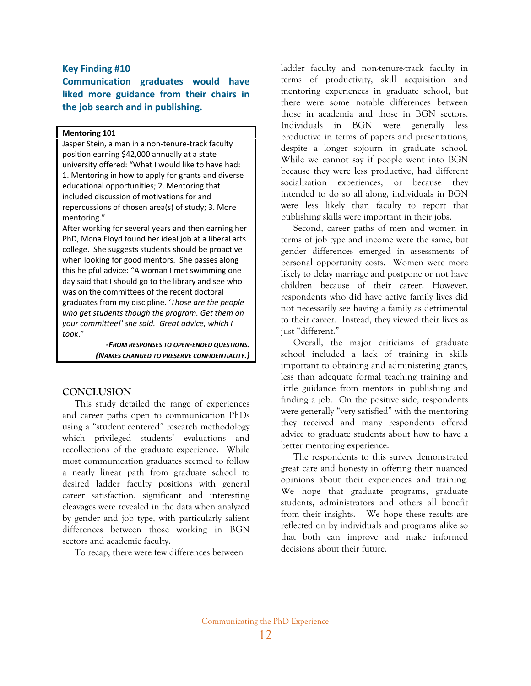#### **Key Finding #10**

**Communication graduates would have liked more guidance from their chairs in the job search and in publishing.**

#### **Mentoring 101**

Jasper Stein, a man in a non‐tenure‐track faculty position earning \$42,000 annually at a state university offered: "What I would like to have had: 1. Mentoring in how to apply for grants and diverse educational opportunities; 2. Mentoring that included discussion of motivations for and repercussions of chosen area(s) of study; 3. More mentoring."

After working for several years and then earning her PhD, Mona Floyd found her ideal job at a liberal arts college. She suggests students should be proactive when looking for good mentors. She passes along this helpful advice: "A woman I met swimming one day said that I should go to the library and see who was on the committees of the recent doctoral graduates from my discipline. '*Those are the people who get students though the program. Get them on your committee!' she said. Great advice, which I took*."

> *‐FROM RESPONSES TO OPEN‐ENDED QUESTIONS. (NAMES CHANGED TO PRESERVE CONFIDENTIALITY.)*

#### **CONCLUSION**

This study detailed the range of experiences and career paths open to communication PhDs using a "student centered" research methodology which privileged students' evaluations and recollections of the graduate experience. While most communication graduates seemed to follow a neatly linear path from graduate school to desired ladder faculty positions with general career satisfaction, significant and interesting cleavages were revealed in the data when analyzed by gender and job type, with particularly salient differences between those working in BGN sectors and academic faculty.

To recap, there were few differences between

ladder faculty and non-tenure-track faculty in terms of productivity, skill acquisition and mentoring experiences in graduate school, but there were some notable differences between those in academia and those in BGN sectors. Individuals in BGN were generally less productive in terms of papers and presentations, despite a longer sojourn in graduate school. While we cannot say if people went into BGN because they were less productive, had different socialization experiences, or because they intended to do so all along, individuals in BGN were less likely than faculty to report that publishing skills were important in their jobs.

Second, career paths of men and women in terms of job type and income were the same, but gender differences emerged in assessments of personal opportunity costs. Women were more likely to delay marriage and postpone or not have children because of their career. However, respondents who did have active family lives did not necessarily see having a family as detrimental to their career. Instead, they viewed their lives as just "different."

Overall, the major criticisms of graduate school included a lack of training in skills important to obtaining and administering grants, less than adequate formal teaching training and little guidance from mentors in publishing and finding a job. On the positive side, respondents were generally "very satisfied" with the mentoring they received and many respondents offered advice to graduate students about how to have a better mentoring experience.

The respondents to this survey demonstrated great care and honesty in offering their nuanced opinions about their experiences and training. We hope that graduate programs, graduate students, administrators and others all benefit from their insights. We hope these results are reflected on by individuals and programs alike so that both can improve and make informed decisions about their future.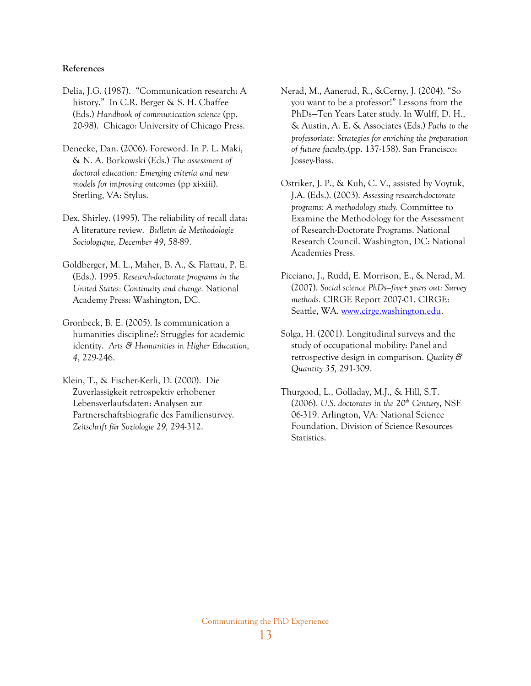#### **References**

- Delia, J.G. (1987). "Communication research: A history." In C.R. Berger & S. H. Chaffee (Eds.) *Handbook of communication science* (pp. 20-98). Chicago: University of Chicago Press.
- Denecke, Dan. (2006). Foreword. In P. L. Maki, & N. A. Borkowski (Eds.) *The assessment of doctoral education: Emerging criteria and new models for improving outcomes* (pp xi-xiii). Sterling, VA: Stylus.
- Dex, Shirley. (1995). The reliability of recall data: A literature review. *Bulletin de Methodologie Sociologique, December 49*, 58-89.
- Goldberger, M. L., Maher, B. A., & Flattau, P. E. (Eds.). 1995. *Research-doctorate programs in the United States: Continuity and change.* National Academy Press: Washington, DC.
- Gronbeck, B. E. (2005). Is communication a humanities discipline?: Struggles for academic identity. *Arts & Humanities in Higher Education, 4*, 229-246.
- Klein, T., & Fischer-Kerli, D. (2000). Die Zuverlassigkeit retrospektiv erhobener Lebensverlaufsdaten: Analysen zur Partnerschaftsbiografie des Familiensurvey. *Zeitschrift für Soziologie 29,* 294-312.
- Nerad, M., Aanerud, R., &Cerny, J. (2004). "So you want to be a professor!" Lessons from the PhDs—Ten Years Later study. In Wulff, D. H., & Austin, A. E. & Associates (Eds.) *Paths to the professoriate: Strategies for enriching the preparation of future faculty*.(pp. 137-158). San Francisco: Jossey-Bass.
- Ostriker, J. P., & Kuh, C. V., assisted by Voytuk, J.A. (Eds.). (2003). *Assessing research-doctorate programs: A methodology study.* Committee to Examine the Methodology for the Assessment of Research-Doctorate Programs. National Research Council. Washington, DC: National Academies Press.
- Picciano, J., Rudd, E. Morrison, E., & Nerad, M. (2007). *Social science PhDs—five+ years out: Survey methods.* CIRGE Report 2007-01. CIRGE: Seattle, WA. [www.cirge.washington.edu.](http://www.cirge.washington.edu/)
- Solga, H. (2001). Longitudinal surveys and the study of occupational mobility: Panel and retrospective design in comparison. *Quality & Quantity 35,* 291-309.
- Thurgood, L., Golladay, M.J., & Hill, S.T. (2006). U.S. doctorates in the  $20<sup>th</sup>$  Century, NSF 06-319. Arlington, VA: National Science Foundation, Division of Science Resources Statistics.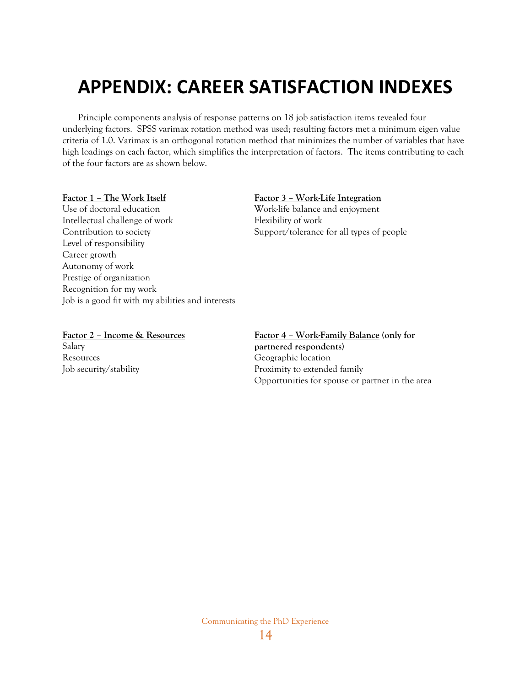# **APPENDIX: CAREER SATISFACTION INDEXES**

Principle components analysis of response patterns on 18 job satisfaction items revealed four underlying factors. SPSS varimax rotation method was used; resulting factors met a minimum eigen value criteria of 1.0. Varimax is an orthogonal rotation method that minimizes the number of variables that have high loadings on each factor, which simplifies the interpretation of factors. The items contributing to each of the four factors are as shown below.

#### **Factor 1 – The Work Itself**

Use of doctoral education Intellectual challenge of work Contribution to society Level of responsibility Career growth Autonomy of work Prestige of organization Recognition for my work Job is a good fit with my abilities and interests

#### **Factor 3 – Work-Life Integration**

Work-life balance and enjoyment Flexibility of work Support/tolerance for all types of people

**Factor 2 – Income & Resources** Salary Resources Job security/stability

**Factor 4 – Work-Family Balance (only for partnered respondents)**  Geographic location Proximity to extended family Opportunities for spouse or partner in the area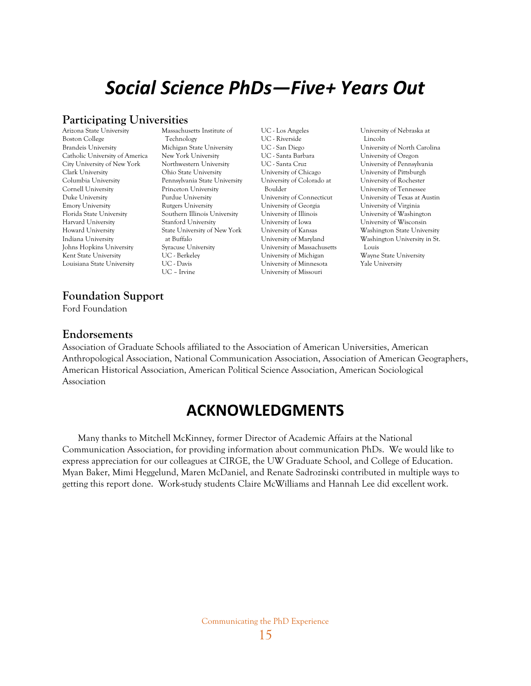# *Social Science PhDs—Five+ Years Out*

# **Participating Universities**

Arizona State University Boston College Brandeis University Catholic University of America City University of New York Clark University Columbia University Cornell University Duke University Emory University Florida State University Harvard University Howard University Indiana University Johns Hopkins University Kent State University Louisiana State University

Massachusetts Institute of Technology Michigan State University New York University Northwestern University Ohio State University Pennsylvania State University Princeton University Purdue University Rutgers University Southern Illinois University Stanford University State University of New York at Buffalo Syracuse University UC - Berkeley UC - Davis UC – Irvine

UC - Los Angeles UC - Riverside UC - San Diego UC - Santa Barbara UC - Santa Cruz University of Chicago University of Colorado at Boulder University of Connecticut University of Georgia University of Illinois University of Iowa University of Kansas University of Maryland University of Massachusetts University of Michigan University of Minnesota University of Missouri

University of Nebraska at Lincoln University of North Carolina University of Oregon University of Pennsylvania University of Pittsburgh University of Rochester University of Tennessee University of Texas at Austin University of Virginia University of Washington University of Wisconsin Washington State University Washington University in St. Louis Wayne State University Yale University

# **Foundation Support**

Ford Foundation

# **Endorsements**

Association of Graduate Schools affiliated to the Association of American Universities, American Anthropological Association, National Communication Association, Association of American Geographers, American Historical Association, American Political Science Association, American Sociological Association

# **ACKNOWLEDGMENTS**

Many thanks to Mitchell McKinney, former Director of Academic Affairs at the National Communication Association, for providing information about communication PhDs. We would like to express appreciation for our colleagues at CIRGE, the UW Graduate School, and College of Education. Myan Baker, Mimi Heggelund, Maren McDaniel, and Renate Sadrozinski contributed in multiple ways to getting this report done. Work-study students Claire McWilliams and Hannah Lee did excellent work.